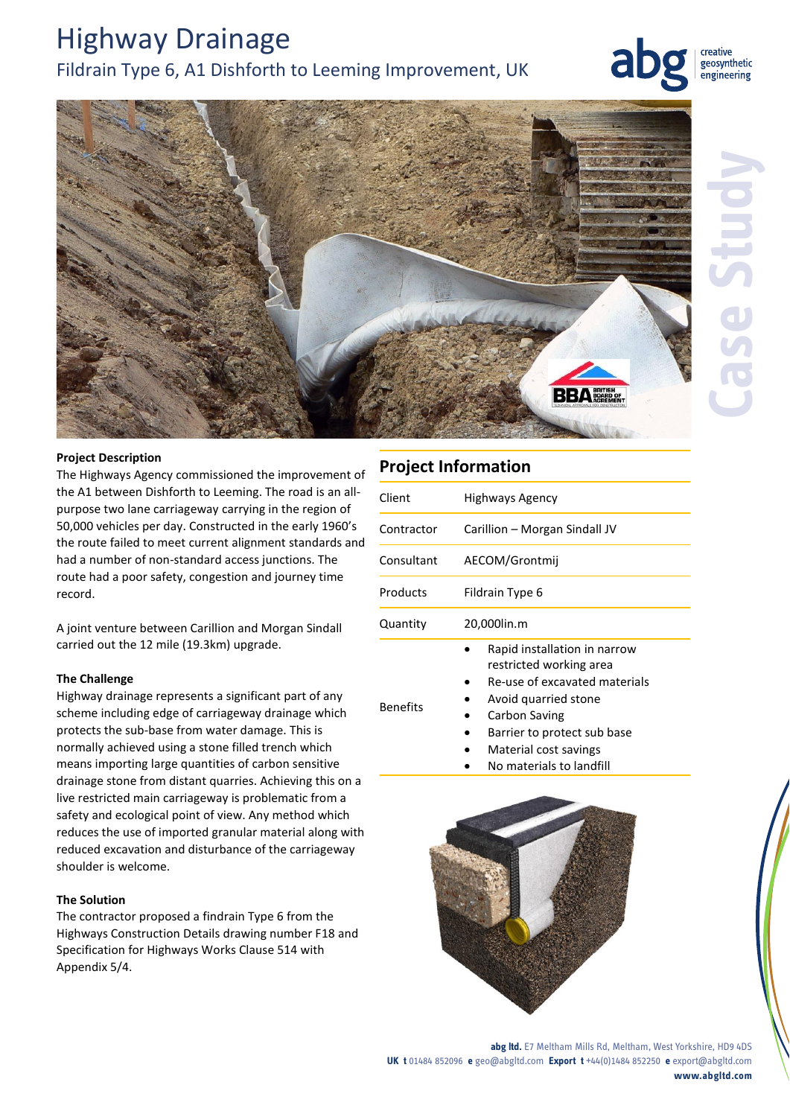# Highway Drainage Fildrain Type 6, A1 Dishforth to Leeming Improvement, UK

creative geosynthetic engineering



#### **Project Description**

The Highways Agency commissioned the improvement of the A1 between Dishforth to Leeming. The road is an allpurpose two lane carriageway carrying in the region of 50,000 vehicles per day. Constructed in the early 1960's the route failed to meet current alignment standards and had a number of non-standard access junctions. The route had a poor safety, congestion and journey time record.

A joint venture between Carillion and Morgan Sindall carried out the 12 mile (19.3km) upgrade.

#### **The Challenge**

Highway drainage represents a significant part of any scheme including edge of carriageway drainage which protects the sub-base from water damage. This is normally achieved using a stone filled trench which means importing large quantities of carbon sensitive drainage stone from distant quarries. Achieving this on a live restricted main carriageway is problematic from a safety and ecological point of view. Any method which reduces the use of imported granular material along with reduced excavation and disturbance of the carriageway shoulder is welcome.

### **The Solution**

The contractor proposed a findrain Type 6 from the Highways Construction Details drawing number F18 and Specification for Highways Works Clause 514 with Appendix 5/4.

## **Project Information**

| Client          | <b>Highways Agency</b>                                                                                                                   |
|-----------------|------------------------------------------------------------------------------------------------------------------------------------------|
| Contractor      | Carillion – Morgan Sindall JV                                                                                                            |
| Consultant      | AECOM/Grontmij                                                                                                                           |
| Products        | Fildrain Type 6                                                                                                                          |
| Quantity        | 20,000lin.m                                                                                                                              |
| <b>Benefits</b> | Rapid installation in narrow<br>restricted working area<br>Re-use of excavated materials<br>Avoid quarried stone<br><b>Carbon Saving</b> |

- Barrier to protect sub base
- Material cost savings
- No materials to landfill



**abg ltd.** E7 Meltham Mills Rd, Meltham, West Yorkshire, HD9 4DS **UK t** 01484 852096 **e** geo@abgltd.com **Export t** +44(0)1484 852250 **e** export@abgltd.com **www.abgltd.com**